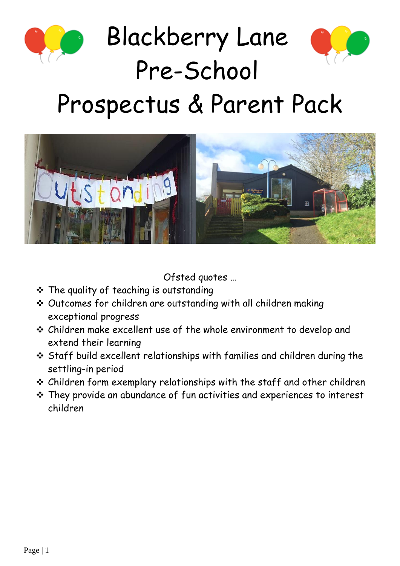

Blackberry Lane Pre-School



# Prospectus & Parent Pack



Ofsted quotes …

- ❖ The quality of teaching is outstanding
- ❖ Outcomes for children are outstanding with all children making exceptional progress
- ❖ Children make excellent use of the whole environment to develop and extend their learning
- ❖ Staff build excellent relationships with families and children during the settling-in period
- ❖ Children form exemplary relationships with the staff and other children
- ❖ They provide an abundance of fun activities and experiences to interest children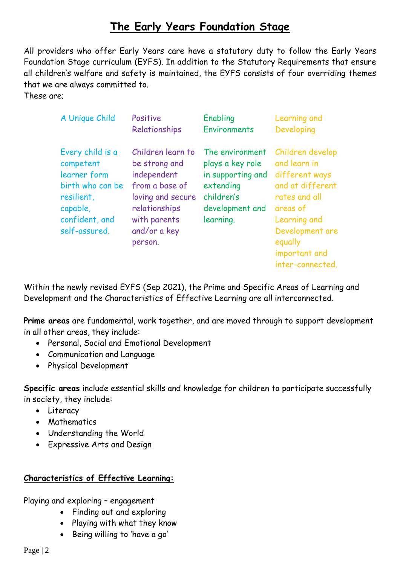# **The Early Years Foundation Stage**

All providers who offer Early Years care have a statutory duty to follow the Early Years Foundation Stage curriculum (EYFS). In addition to the Statutory Requirements that ensure all children's welfare and safety is maintained, the EYFS consists of four overriding themes that we are always committed to.

These are;

| A Unique Child                                                                                                                 | Positive                                                                                                                                             | Enabling                                                                                                            | Learning and                                                                                                                                                                          |
|--------------------------------------------------------------------------------------------------------------------------------|------------------------------------------------------------------------------------------------------------------------------------------------------|---------------------------------------------------------------------------------------------------------------------|---------------------------------------------------------------------------------------------------------------------------------------------------------------------------------------|
|                                                                                                                                | Relationships                                                                                                                                        | <b>Environments</b>                                                                                                 | Developing                                                                                                                                                                            |
| Every child is a<br>competent<br>learner form<br>birth who can be<br>resilient,<br>capable,<br>confident, and<br>self-assured. | Children learn to<br>be strong and<br>independent<br>from a base of<br>loving and secure<br>relationships<br>with parents<br>and/or a key<br>person. | The environment<br>plays a key role<br>in supporting and<br>extending<br>children's<br>development and<br>learning. | Children develop<br>and learn in<br>different ways<br>and at different<br>rates and all<br>areas of<br>Learning and<br>Development are<br>equally<br>important and<br>inter-connected |

Within the newly revised EYFS (Sep 2021), the Prime and Specific Areas of Learning and Development and the Characteristics of Effective Learning are all interconnected.

**Prime areas** are fundamental, work together, and are moved through to support development in all other areas, they include:

- Personal, Social and Emotional Development
- Communication and Language
- Physical Development

**Specific areas** include essential skills and knowledge for children to participate successfully in society, they include:

- Literacy
- Mathematics
- Understanding the World
- Expressive Arts and Design

#### **Characteristics of Effective Learning:**

Playing and exploring – engagement

- Finding out and exploring
- Playing with what they know
- Being willing to 'have a go'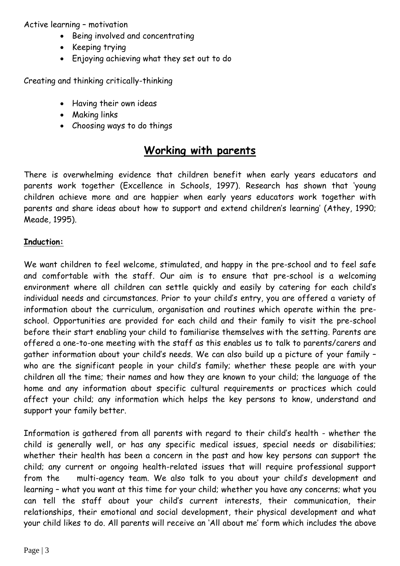Active learning – motivation

- Being involved and concentrating
- Keeping trying
- Enjoying achieving what they set out to do

Creating and thinking critically-thinking

- Having their own ideas
- Making links
- Choosing ways to do things

# **Working with parents**

There is overwhelming evidence that children benefit when early years educators and parents work together (Excellence in Schools, 1997). Research has shown that 'young children achieve more and are happier when early years educators work together with parents and share ideas about how to support and extend children's learning' (Athey, 1990; Meade, 1995).

#### **Induction:**

We want children to feel welcome, stimulated, and happy in the pre-school and to feel safe and comfortable with the staff. Our aim is to ensure that pre-school is a welcoming environment where all children can settle quickly and easily by catering for each child's individual needs and circumstances. Prior to your child's entry, you are offered a variety of information about the curriculum, organisation and routines which operate within the preschool. Opportunities are provided for each child and their family to visit the pre-school before their start enabling your child to familiarise themselves with the setting. Parents are offered a one-to-one meeting with the staff as this enables us to talk to parents/carers and gather information about your child's needs. We can also build up a picture of your family – who are the significant people in your child's family; whether these people are with your children all the time; their names and how they are known to your child; the language of the home and any information about specific cultural requirements or practices which could affect your child; any information which helps the key persons to know, understand and support your family better.

Information is gathered from all parents with regard to their child's health - whether the child is generally well, or has any specific medical issues, special needs or disabilities; whether their health has been a concern in the past and how key persons can support the child; any current or ongoing health-related issues that will require professional support from the multi-agency team. We also talk to you about your child's development and learning – what you want at this time for your child; whether you have any concerns; what you can tell the staff about your child's current interests, their communication, their relationships, their emotional and social development, their physical development and what your child likes to do. All parents will receive an 'All about me' form which includes the above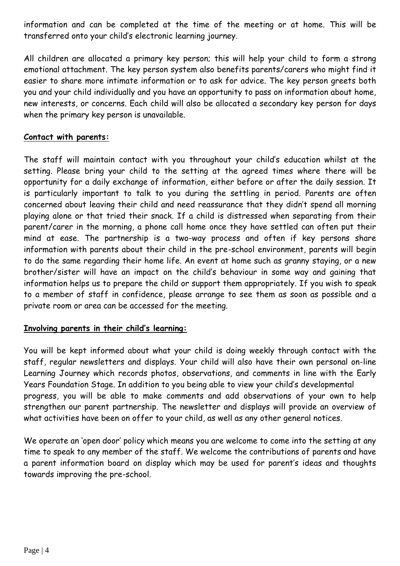information and can be completed at the time of the meeting or at home. This will be transferred onto your child's electronic learning journey.

All children are allocated a primary key person; this will help your child to form a strong emotional attachment. The key person system also benefits parents/carers who might find it easier to share more intimate information or to ask for advice. The key person greets both you and your child individually and you have an opportunity to pass on information about home, new interests, or concerns. Each child will also be allocated a secondary key person for days when the primary key person is unavailable.

#### **Contact with parents:**

The staff will maintain contact with you throughout your child's education whilst at the setting. Please bring your child to the setting at the agreed times where there will be opportunity for a daily exchange of information, either before or after the daily session. It is particularly important to talk to you during the settling in period. Parents are often concerned about leaving their child and need reassurance that they didn't spend all morning playing alone or that tried their snack. If a child is distressed when separating from their parent/carer in the morning, a phone call home once they have settled can often put their mind at ease. The partnership is a two-way process and often if key persons share information with parents about their child in the pre-school environment, parents will begin to do the same regarding their home life. An event at home such as granny staying, or a new brother/sister will have an impact on the child's behaviour in some way and gaining that information helps us to prepare the child or support them appropriately. If you wish to speak to a member of staff in confidence, please arrange to see them as soon as possible and a private room or area can be accessed for the meeting.

#### **Involving parents in their child's learning:**

You will be kept informed about what your child is doing weekly through contact with the staff, regular newsletters and displays. Your child will also have their own personal on-line Learning Journey which records photos, observations, and comments in line with the Early Years Foundation Stage. In addition to you being able to view your child's developmental progress, you will be able to make comments and add observations of your own to help strengthen our parent partnership. The newsletter and displays will provide an overview of what activities have been on offer to your child, as well as any other general notices.

We operate an 'open door' policy which means you are welcome to come into the setting at any time to speak to any member of the staff. We welcome the contributions of parents and have a parent information board on display which may be used for parent's ideas and thoughts towards improving the pre-school.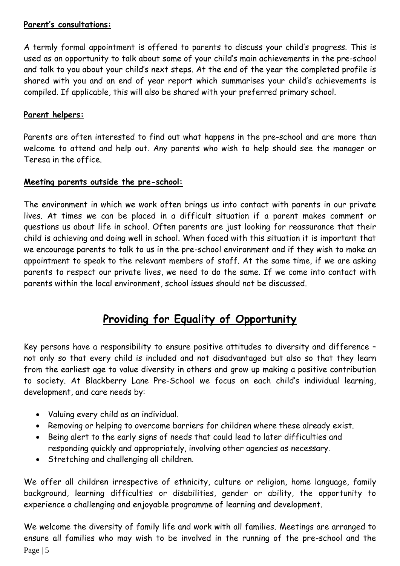#### **Parent's consultations:**

A termly formal appointment is offered to parents to discuss your child's progress. This is used as an opportunity to talk about some of your child's main achievements in the pre-school and talk to you about your child's next steps. At the end of the year the completed profile is shared with you and an end of year report which summarises your child's achievements is compiled. If applicable, this will also be shared with your preferred primary school.

#### **Parent helpers:**

Parents are often interested to find out what happens in the pre-school and are more than welcome to attend and help out. Any parents who wish to help should see the manager or Teresa in the office.

#### **Meeting parents outside the pre-school:**

The environment in which we work often brings us into contact with parents in our private lives. At times we can be placed in a difficult situation if a parent makes comment or questions us about life in school. Often parents are just looking for reassurance that their child is achieving and doing well in school. When faced with this situation it is important that we encourage parents to talk to us in the pre-school environment and if they wish to make an appointment to speak to the relevant members of staff. At the same time, if we are asking parents to respect our private lives, we need to do the same. If we come into contact with parents within the local environment, school issues should not be discussed.

# **Providing for Equality of Opportunity**

Key persons have a responsibility to ensure positive attitudes to diversity and difference – not only so that every child is included and not disadvantaged but also so that they learn from the earliest age to value diversity in others and grow up making a positive contribution to society. At Blackberry Lane Pre-School we focus on each child's individual learning, development, and care needs by:

- Valuing every child as an individual.
- Removing or helping to overcome barriers for children where these already exist.
- Being alert to the early signs of needs that could lead to later difficulties and responding quickly and appropriately, involving other agencies as necessary.
- Stretching and challenging all children.

We offer all children irrespective of ethnicity, culture or religion, home language, family background, learning difficulties or disabilities, gender or ability, the opportunity to experience a challenging and enjoyable programme of learning and development.

Page | 5 We welcome the diversity of family life and work with all families. Meetings are arranged to ensure all families who may wish to be involved in the running of the pre-school and the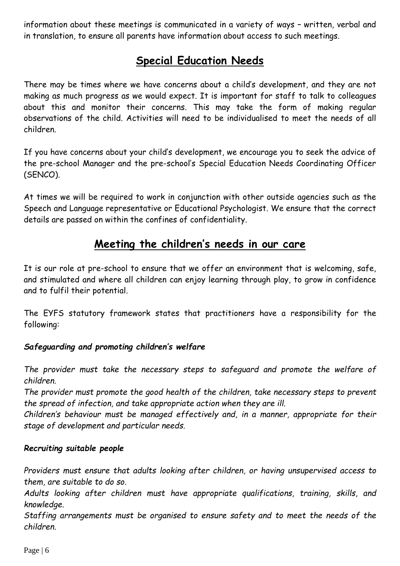information about these meetings is communicated in a variety of ways – written, verbal and in translation, to ensure all parents have information about access to such meetings.

# **Special Education Needs**

There may be times where we have concerns about a child's development, and they are not making as much progress as we would expect. It is important for staff to talk to colleagues about this and monitor their concerns. This may take the form of making regular observations of the child. Activities will need to be individualised to meet the needs of all children.

If you have concerns about your child's development, we encourage you to seek the advice of the pre-school Manager and the pre-school's Special Education Needs Coordinating Officer (SENCO).

At times we will be required to work in conjunction with other outside agencies such as the Speech and Language representative or Educational Psychologist. We ensure that the correct details are passed on within the confines of confidentiality.

### **Meeting the children's needs in our care**

It is our role at pre-school to ensure that we offer an environment that is welcoming, safe, and stimulated and where all children can enjoy learning through play, to grow in confidence and to fulfil their potential.

The EYFS statutory framework states that practitioners have a responsibility for the following:

#### *Safeguarding and promoting children's welfare*

*The provider must take the necessary steps to safeguard and promote the welfare of children.* 

*The provider must promote the good health of the children, take necessary steps to prevent the spread of infection, and take appropriate action when they are ill.*

*Children's behaviour must be managed effectively and, in a manner, appropriate for their stage of development and particular needs.*

#### *Recruiting suitable people*

*Providers must ensure that adults looking after children, or having unsupervised access to them, are suitable to do so.*

*Adults looking after children must have appropriate qualifications, training, skills, and knowledge.*

*Staffing arrangements must be organised to ensure safety and to meet the needs of the children.*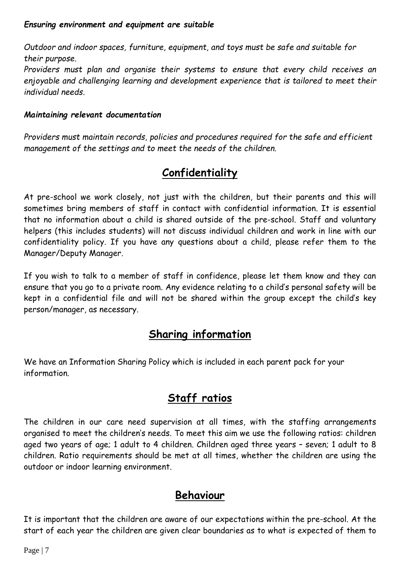*Outdoor and indoor spaces, furniture, equipment, and toys must be safe and suitable for their purpose.*

*Providers must plan and organise their systems to ensure that every child receives an enjoyable and challenging learning and development experience that is tailored to meet their individual needs.* 

#### *Maintaining relevant documentation*

*Providers must maintain records, policies and procedures required for the safe and efficient management of the settings and to meet the needs of the children.*

# **Confidentiality**

At pre-school we work closely, not just with the children, but their parents and this will sometimes bring members of staff in contact with confidential information. It is essential that no information about a child is shared outside of the pre-school. Staff and voluntary helpers (this includes students) will not discuss individual children and work in line with our confidentiality policy. If you have any questions about a child, please refer them to the Manager/Deputy Manager.

If you wish to talk to a member of staff in confidence, please let them know and they can ensure that you go to a private room. Any evidence relating to a child's personal safety will be kept in a confidential file and will not be shared within the group except the child's key person/manager, as necessary.

### **Sharing information**

We have an Information Sharing Policy which is included in each parent pack for your information.

# **Staff ratios**

The children in our care need supervision at all times, with the staffing arrangements organised to meet the children's needs. To meet this aim we use the following ratios: children aged two years of age; 1 adult to 4 children. Children aged three years – seven; 1 adult to 8 children. Ratio requirements should be met at all times, whether the children are using the outdoor or indoor learning environment.

### **Behaviour**

It is important that the children are aware of our expectations within the pre-school. At the start of each year the children are given clear boundaries as to what is expected of them to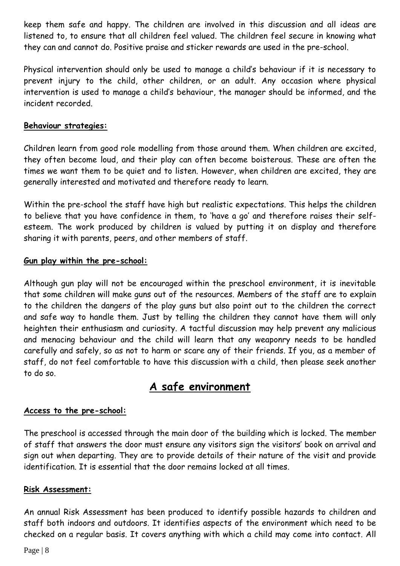keep them safe and happy. The children are involved in this discussion and all ideas are listened to, to ensure that all children feel valued. The children feel secure in knowing what they can and cannot do. Positive praise and sticker rewards are used in the pre-school.

Physical intervention should only be used to manage a child's behaviour if it is necessary to prevent injury to the child, other children, or an adult. Any occasion where physical intervention is used to manage a child's behaviour, the manager should be informed, and the incident recorded.

#### **Behaviour strategies:**

Children learn from good role modelling from those around them. When children are excited, they often become loud, and their play can often become boisterous. These are often the times we want them to be quiet and to listen. However, when children are excited, they are generally interested and motivated and therefore ready to learn.

Within the pre-school the staff have high but realistic expectations. This helps the children to believe that you have confidence in them, to 'have a go' and therefore raises their selfesteem. The work produced by children is valued by putting it on display and therefore sharing it with parents, peers, and other members of staff.

#### **Gun play within the pre-school:**

Although gun play will not be encouraged within the preschool environment, it is inevitable that some children will make guns out of the resources. Members of the staff are to explain to the children the dangers of the play guns but also point out to the children the correct and safe way to handle them. Just by telling the children they cannot have them will only heighten their enthusiasm and curiosity. A tactful discussion may help prevent any malicious and menacing behaviour and the child will learn that any weaponry needs to be handled carefully and safely, so as not to harm or scare any of their friends. If you, as a member of staff, do not feel comfortable to have this discussion with a child, then please seek another to do so.

### **A safe environment**

#### **Access to the pre-school:**

The preschool is accessed through the main door of the building which is locked. The member of staff that answers the door must ensure any visitors sign the visitors' book on arrival and sign out when departing. They are to provide details of their nature of the visit and provide identification. It is essential that the door remains locked at all times.

#### **Risk Assessment:**

An annual Risk Assessment has been produced to identify possible hazards to children and staff both indoors and outdoors. It identifies aspects of the environment which need to be checked on a regular basis. It covers anything with which a child may come into contact. All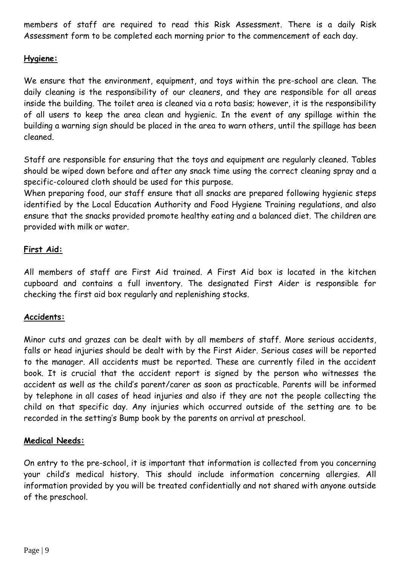members of staff are required to read this Risk Assessment. There is a daily Risk Assessment form to be completed each morning prior to the commencement of each day.

#### **Hygiene:**

We ensure that the environment, equipment, and toys within the pre-school are clean. The daily cleaning is the responsibility of our cleaners, and they are responsible for all areas inside the building. The toilet area is cleaned via a rota basis; however, it is the responsibility of all users to keep the area clean and hygienic. In the event of any spillage within the building a warning sign should be placed in the area to warn others, until the spillage has been cleaned.

Staff are responsible for ensuring that the toys and equipment are regularly cleaned. Tables should be wiped down before and after any snack time using the correct cleaning spray and a specific-coloured cloth should be used for this purpose.

When preparing food, our staff ensure that all snacks are prepared following hygienic steps identified by the Local Education Authority and Food Hygiene Training regulations, and also ensure that the snacks provided promote healthy eating and a balanced diet. The children are provided with milk or water.

#### **First Aid:**

All members of staff are First Aid trained. A First Aid box is located in the kitchen cupboard and contains a full inventory. The designated First Aider is responsible for checking the first aid box regularly and replenishing stocks.

#### **Accidents:**

Minor cuts and grazes can be dealt with by all members of staff. More serious accidents, falls or head injuries should be dealt with by the First Aider. Serious cases will be reported to the manager. All accidents must be reported. These are currently filed in the accident book. It is crucial that the accident report is signed by the person who witnesses the accident as well as the child's parent/carer as soon as practicable. Parents will be informed by telephone in all cases of head injuries and also if they are not the people collecting the child on that specific day. Any injuries which occurred outside of the setting are to be recorded in the setting's Bump book by the parents on arrival at preschool.

#### **Medical Needs:**

On entry to the pre-school, it is important that information is collected from you concerning your child's medical history. This should include information concerning allergies. All information provided by you will be treated confidentially and not shared with anyone outside of the preschool.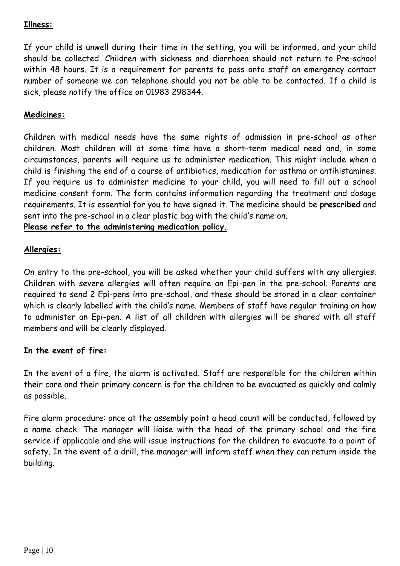#### **Illness:**

If your child is unwell during their time in the setting, you will be informed, and your child should be collected. Children with sickness and diarrhoea should not return to Pre-school within 48 hours. It is a requirement for parents to pass onto staff an emergency contact number of someone we can telephone should you not be able to be contacted. If a child is sick, please notify the office on 01983 298344.

#### **Medicines:**

Children with medical needs have the same rights of admission in pre-school as other children. Most children will at some time have a short-term medical need and, in some circumstances, parents will require us to administer medication. This might include when a child is finishing the end of a course of antibiotics, medication for asthma or antihistamines. If you require us to administer medicine to your child, you will need to fill out a school medicine consent form. The form contains information regarding the treatment and dosage requirements. It is essential for you to have signed it. The medicine should be **prescribed** and sent into the pre-school in a clear plastic bag with the child's name on.

### **Please refer to the administering medication policy.**

#### **Allergies:**

On entry to the pre-school, you will be asked whether your child suffers with any allergies. Children with severe allergies will often require an Epi-pen in the pre-school. Parents are required to send 2 Epi-pens into pre-school, and these should be stored in a clear container which is clearly labelled with the child's name. Members of staff have regular training on how to administer an Epi-pen. A list of all children with allergies will be shared with all staff members and will be clearly displayed.

#### **In the event of fire:**

In the event of a fire, the alarm is activated. Staff are responsible for the children within their care and their primary concern is for the children to be evacuated as quickly and calmly as possible.

Fire alarm procedure: once at the assembly point a head count will be conducted, followed by a name check. The manager will liaise with the head of the primary school and the fire service if applicable and she will issue instructions for the children to evacuate to a point of safety. In the event of a drill, the manager will inform staff when they can return inside the building.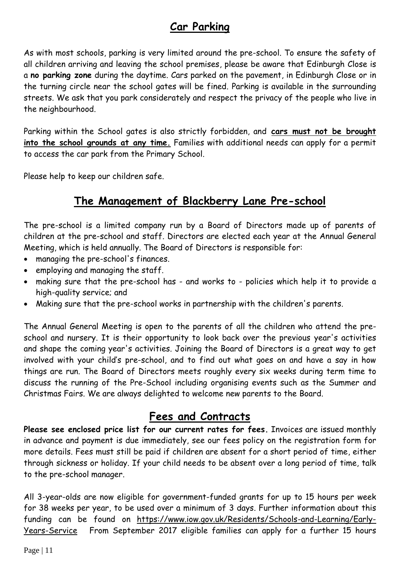# **Car Parking**

As with most schools, parking is very limited around the pre-school. To ensure the safety of all children arriving and leaving the school premises, please be aware that Edinburgh Close is a **no parking zone** during the daytime. Cars parked on the pavement, in Edinburgh Close or in the turning circle near the school gates will be fined. Parking is available in the surrounding streets. We ask that you park considerately and respect the privacy of the people who live in the neighbourhood.

Parking within the School gates is also strictly forbidden, and **cars must not be brought into the school grounds at any time.** Families with additional needs can apply for a permit to access the car park from the Primary School.

Please help to keep our children safe.

# **The Management of Blackberry Lane Pre-school**

The pre-school is a limited company run by a Board of Directors made up of parents of children at the pre-school and staff. Directors are elected each year at the Annual General Meeting, which is held annually. The Board of Directors is responsible for:

- managing the pre-school's finances.
- employing and managing the staff.
- making sure that the pre-school has and works to policies which help it to provide a high-quality service; and
- Making sure that the pre-school works in partnership with the children's parents.

The Annual General Meeting is open to the parents of all the children who attend the preschool and nursery. It is their opportunity to look back over the previous year's activities and shape the coming year's activities. Joining the Board of Directors is a great way to get involved with your child's pre-school, and to find out what goes on and have a say in how things are run. The Board of Directors meets roughly every six weeks during term time to discuss the running of the Pre-School including organising events such as the Summer and Christmas Fairs. We are always delighted to welcome new parents to the Board.

### **Fees and Contracts**

**Please see enclosed price list for our current rates for fees.** Invoices are issued monthly in advance and payment is due immediately, see our fees policy on the registration form for more details. Fees must still be paid if children are absent for a short period of time, either through sickness or holiday. If your child needs to be absent over a long period of time, talk to the pre-school manager.

All 3-year-olds are now eligible for government-funded grants for up to 15 hours per week for 38 weeks per year, to be used over a minimum of 3 days. Further information about this funding can be found on [https://www.iow.gov.uk/Residents/Schools-and-Learning/Early-](https://www.iow.gov.uk/Residents/Schools-and-Learning/Early-Years-Service)[Years-Service](https://www.iow.gov.uk/Residents/Schools-and-Learning/Early-Years-Service) From September 2017 eligible families can apply for a further 15 hours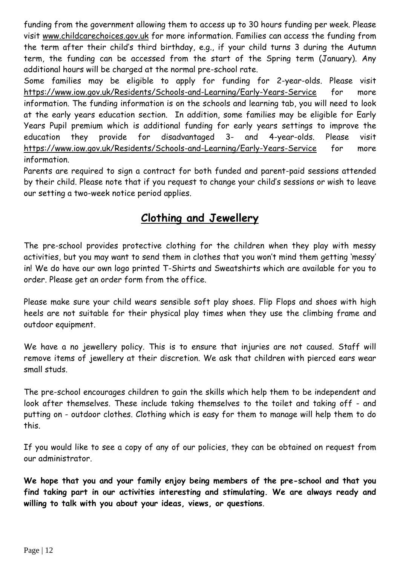funding from the government allowing them to access up to 30 hours funding per week. Please visit [www.childcarechoices.gov.uk](http://www.childcarechoices.gov.uk/) for more information. Families can access the funding from the term after their child's third birthday, e.g., if your child turns 3 during the Autumn term, the funding can be accessed from the start of the Spring term (January). Any additional hours will be charged at the normal pre-school rate.

Some families may be eligible to apply for funding for 2-year-olds. Please visit <https://www.iow.gov.uk/Residents/Schools-and-Learning/Early-Years-Service> for more information. The funding information is on the schools and learning tab, you will need to look at the early years education section. In addition, some families may be eligible for Early Years Pupil premium which is additional funding for early years settings to improve the education they provide for disadvantaged 3- and 4-year-olds. Please visit <https://www.iow.gov.uk/Residents/Schools-and-Learning/Early-Years-Service> for more information.

Parents are required to sign a contract for both funded and parent-paid sessions attended by their child. Please note that if you request to change your child's sessions or wish to leave our setting a two-week notice period applies.

# **Clothing and Jewellery**

The pre-school provides protective clothing for the children when they play with messy activities, but you may want to send them in clothes that you won't mind them getting 'messy' in! We do have our own logo printed T-Shirts and Sweatshirts which are available for you to order. Please get an order form from the office.

Please make sure your child wears sensible soft play shoes. Flip Flops and shoes with high heels are not suitable for their physical play times when they use the climbing frame and outdoor equipment.

We have a no jewellery policy. This is to ensure that injuries are not caused. Staff will remove items of jewellery at their discretion. We ask that children with pierced ears wear small studs.

The pre-school encourages children to gain the skills which help them to be independent and look after themselves. These include taking themselves to the toilet and taking off - and putting on - outdoor clothes. Clothing which is easy for them to manage will help them to do this.

If you would like to see a copy of any of our policies, they can be obtained on request from our administrator.

**We hope that you and your family enjoy being members of the pre-school and that you find taking part in our activities interesting and stimulating. We are always ready and willing to talk with you about your ideas, views, or questions**.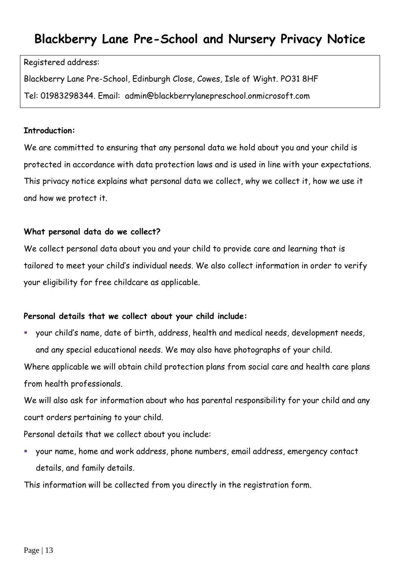# **Blackberry Lane Pre-School and Nursery Privacy Notice**

Registered address:

Blackberry Lane Pre-School, Edinburgh Close, Cowes, Isle of Wight. PO31 8HF

Tel: 01983298344. Email: admin@blackberrylanepreschool.onmicrosoft.com

#### **Introduction:**

We are committed to ensuring that any personal data we hold about you and your child is protected in accordance with data protection laws and is used in line with your expectations. This privacy notice explains what personal data we collect, why we collect it, how we use it and how we protect it.

#### **What personal data do we collect?**

We collect personal data about you and your child to provide care and learning that is tailored to meet your child's individual needs. We also collect information in order to verify your eligibility for free childcare as applicable.

#### **Personal details that we collect about your child include:**

▪ your child's name, date of birth, address, health and medical needs, development needs, and any special educational needs. We may also have photographs of your child.

Where applicable we will obtain child protection plans from social care and health care plans from health professionals.

We will also ask for information about who has parental responsibility for your child and any court orders pertaining to your child.

Personal details that we collect about you include:

your name, home and work address, phone numbers, email address, emergency contact details, and family details.

This information will be collected from you directly in the registration form.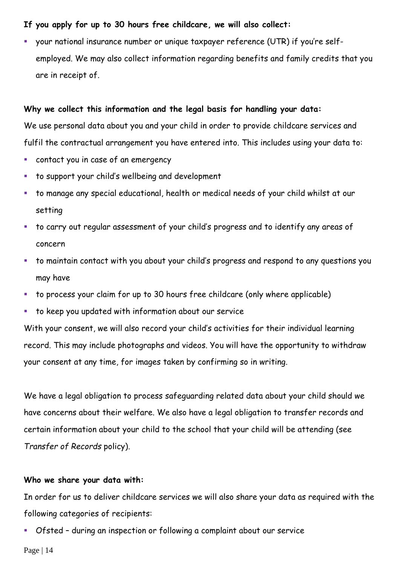#### **If you apply for up to 30 hours free childcare, we will also collect:**

your national insurance number or unique taxpayer reference (UTR) if you're selfemployed. We may also collect information regarding benefits and family credits that you are in receipt of.

#### **Why we collect this information and the legal basis for handling your data:**

We use personal data about you and your child in order to provide childcare services and fulfil the contractual arrangement you have entered into. This includes using your data to:

- contact you in case of an emergency
- to support your child's wellbeing and development
- to manage any special educational, health or medical needs of your child whilst at our setting
- to carry out regular assessment of your child's progress and to identify any areas of concern
- to maintain contact with you about your child's progress and respond to any questions you may have
- to process your claim for up to 30 hours free childcare (only where applicable)
- to keep you updated with information about our service

With your consent, we will also record your child's activities for their individual learning record. This may include photographs and videos. You will have the opportunity to withdraw your consent at any time, for images taken by confirming so in writing.

We have a legal obligation to process safeguarding related data about your child should we have concerns about their welfare. We also have a legal obligation to transfer records and certain information about your child to the school that your child will be attending (see *Transfer of Records* policy).

#### **Who we share your data with:**

In order for us to deliver childcare services we will also share your data as required with the following categories of recipients:

Ofsted - during an inspection or following a complaint about our service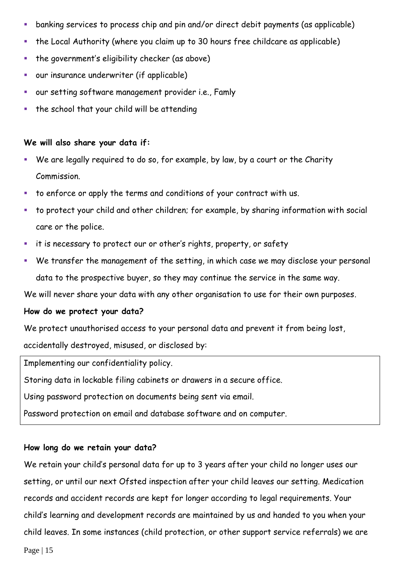- **E** banking services to process chip and pin and/or direct debit payments (as applicable)
- the Local Authority (where you claim up to 30 hours free childcare as applicable)
- **•** the government's eligibility checker (as above)
- our insurance underwriter (if applicable)
- our setting software management provider i.e., Famly
- the school that your child will be attending

#### **We will also share your data if:**

- We are legally required to do so, for example, by law, by a court or the Charity Commission.
- to enforce or apply the terms and conditions of your contract with us.
- to protect your child and other children; for example, by sharing information with social care or the police.
- it is necessary to protect our or other's rights, property, or safety
- We transfer the management of the setting, in which case we may disclose your personal data to the prospective buyer, so they may continue the service in the same way.

We will never share your data with any other organisation to use for their own purposes.

#### **How do we protect your data?**

We protect unauthorised access to your personal data and prevent it from being lost,

accidentally destroyed, misused, or disclosed by:

Implementing our confidentiality policy.

Storing data in lockable filing cabinets or drawers in a secure office.

Using password protection on documents being sent via email.

Password protection on email and database software and on computer.

#### **How long do we retain your data?**

We retain your child's personal data for up to 3 years after your child no longer uses our setting, or until our next Ofsted inspection after your child leaves our setting. Medication records and accident records are kept for longer according to legal requirements. Your child's learning and development records are maintained by us and handed to you when your child leaves. In some instances (child protection, or other support service referrals) we are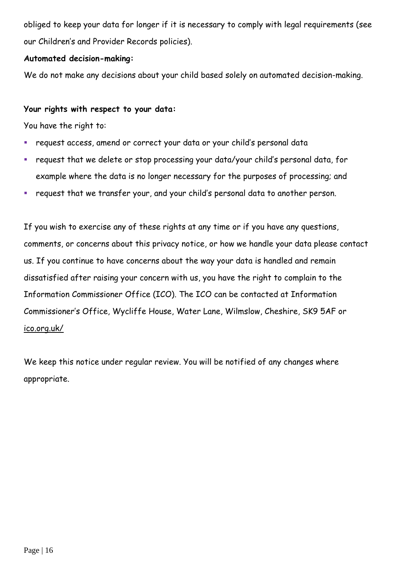obliged to keep your data for longer if it is necessary to comply with legal requirements (see our Children's and Provider Records policies).

#### **Automated decision-making:**

We do not make any decisions about your child based solely on automated decision-making.

#### **Your rights with respect to your data:**

You have the right to:

- request access, amend or correct your data or your child's personal data
- request that we delete or stop processing your data/your child's personal data, for example where the data is no longer necessary for the purposes of processing; and
- request that we transfer your, and your child's personal data to another person.

If you wish to exercise any of these rights at any time or if you have any questions, comments, or concerns about this privacy notice, or how we handle your data please contact us. If you continue to have concerns about the way your data is handled and remain dissatisfied after raising your concern with us, you have the right to complain to the Information Commissioner Office (ICO). The ICO can be contacted at Information Commissioner's Office, Wycliffe House, Water Lane, Wilmslow, Cheshire, SK9 5AF or [ico.org.uk/](https://ico.org.uk/)

We keep this notice under regular review. You will be notified of any changes where appropriate.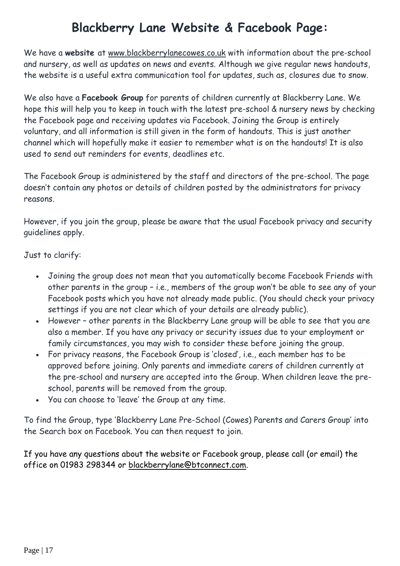# **Blackberry Lane Website & Facebook Page:**

We have a **website** at [www.blackberrylanecowes.co.uk](about:blank) with information about the pre-school and nursery, as well as updates on news and events. Although we give regular news handouts, the website is a useful extra communication tool for updates, such as, closures due to snow.

We also have a **Facebook Group** for parents of children currently at Blackberry Lane. We hope this will help you to keep in touch with the latest pre-school & nursery news by checking the Facebook page and receiving updates via Facebook. Joining the Group is entirely voluntary, and all information is still given in the form of handouts. This is just another channel which will hopefully make it easier to remember what is on the handouts! It is also used to send out reminders for events, deadlines etc.

The Facebook Group is administered by the staff and directors of the pre-school. The page doesn't contain any photos or details of children posted by the administrators for privacy reasons.

However, if you join the group, please be aware that the usual Facebook privacy and security guidelines apply.

Just to clarify:

- Joining the group does not mean that you automatically become Facebook Friends with other parents in the group – i.e., members of the group won't be able to see any of your Facebook posts which you have not already made public. (You should check your privacy settings if you are not clear which of your details are already public).
- However other parents in the Blackberry Lane group will be able to see that you are also a member. If you have any privacy or security issues due to your employment or family circumstances, you may wish to consider these before joining the group.
- For privacy reasons, the Facebook Group is 'closed', i.e., each member has to be approved before joining. Only parents and immediate carers of children currently at the pre-school and nursery are accepted into the Group. When children leave the preschool, parents will be removed from the group.
- You can choose to 'leave' the Group at any time.

To find the Group, type 'Blackberry Lane Pre-School (Cowes) Parents and Carers Group' into the Search box on Facebook. You can then request to join.

If you have any questions about the website or Facebook group, please call (or email) the office on 01983 298344 or [blackberrylane@btconnect.com.](mailto:blackberrylane@btconnect.com)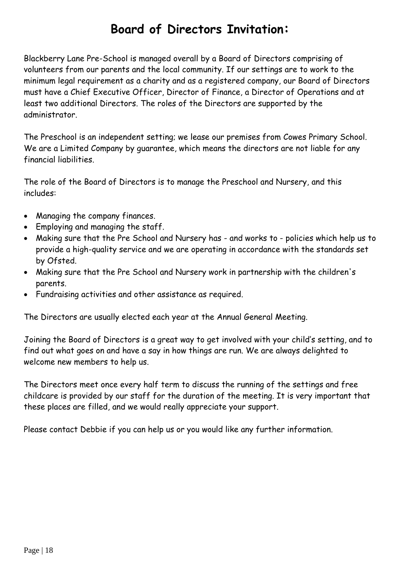# **Board of Directors Invitation:**

Blackberry Lane Pre-School is managed overall by a Board of Directors comprising of volunteers from our parents and the local community. If our settings are to work to the minimum legal requirement as a charity and as a registered company, our Board of Directors must have a Chief Executive Officer, Director of Finance, a Director of Operations and at least two additional Directors. The roles of the Directors are supported by the administrator.

The Preschool is an independent setting; we lease our premises from Cowes Primary School. We are a Limited Company by guarantee, which means the directors are not liable for any financial liabilities.

The role of the Board of Directors is to manage the Preschool and Nursery, and this includes:

- Managing the company finances.
- Employing and managing the staff.
- Making sure that the Pre School and Nursery has and works to policies which help us to provide a high-quality service and we are operating in accordance with the standards set by Ofsted.
- Making sure that the Pre School and Nursery work in partnership with the children's parents.
- Fundraising activities and other assistance as required.

The Directors are usually elected each year at the Annual General Meeting.

Joining the Board of Directors is a great way to get involved with your child's setting, and to find out what goes on and have a say in how things are run. We are always delighted to welcome new members to help us.

The Directors meet once every half term to discuss the running of the settings and free childcare is provided by our staff for the duration of the meeting. It is very important that these places are filled, and we would really appreciate your support.

Please contact Debbie if you can help us or you would like any further information.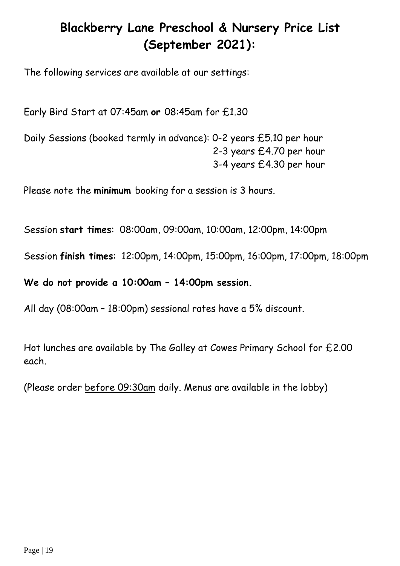# **Blackberry Lane Preschool & Nursery Price List (September 2021):**

The following services are available at our settings:

Early Bird Start at 07:45am **or** 08:45am for £1.30

Daily Sessions (booked termly in advance): 0-2 years £5.10 per hour 2-3 years £4.70 per hour 3-4 years £4.30 per hour

Please note the **minimum** booking for a session is 3 hours.

Session **start times**: 08:00am, 09:00am, 10:00am, 12:00pm, 14:00pm

Session **finish times**: 12:00pm, 14:00pm, 15:00pm, 16:00pm, 17:00pm, 18:00pm

**We do not provide a 10:00am – 14:00pm session.**

All day (08:00am – 18:00pm) sessional rates have a 5% discount.

Hot lunches are available by The Galley at Cowes Primary School for £2.00 each.

(Please order before 09:30am daily. Menus are available in the lobby)